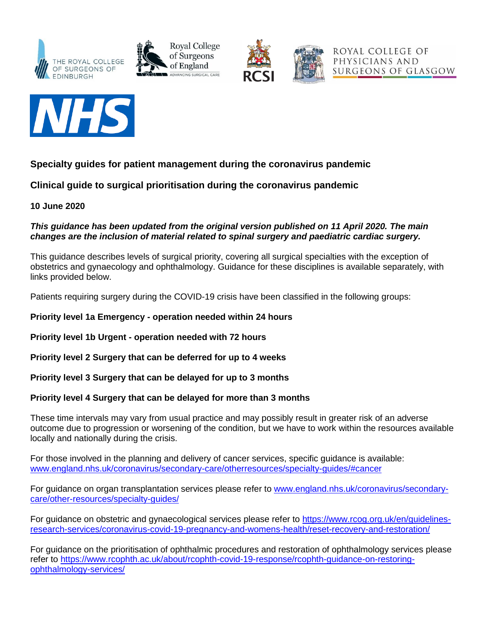







## **Specialty guides for patient management during the coronavirus pandemic**

**Clinical guide to surgical prioritisation during the coronavirus pandemic**

**10 June 2020**

## *This guidance has been updated from the original version published on 11 April 2020. The main changes are the inclusion of material related to spinal surgery and paediatric cardiac surgery.*

This guidance describes levels of surgical priority, covering all surgical specialties with the exception of obstetrics and gynaecology and ophthalmology. Guidance for these disciplines is available separately, with links provided below.

Patients requiring surgery during the COVID-19 crisis have been classified in the following groups:

**Priority level 1a Emergency - operation needed within 24 hours**

**Priority level 1b Urgent - operation needed with 72 hours**

**Priority level 2 Surgery that can be deferred for up to 4 weeks**

**Priority level 3 Surgery that can be delayed for up to 3 months**

## **Priority level 4 Surgery that can be delayed for more than 3 months**

These time intervals may vary from usual practice and may possibly result in greater risk of an adverse outcome due to progression or worsening of the condition, but we have to work within the resources available locally and nationally during the crisis.

For those involved in the planning and delivery of cancer services, specific guidance is available: [www.england.nhs.uk/coronavirus/secondary-care/otherresources/specialty-guides/#cancer](http://www.england.nhs.uk/coronavirus/secondary-care/otherresources/specialty-guides/#cancer)

For guidance on organ transplantation services please refer to [www.england.nhs.uk/coronavirus/secondary](http://www.england.nhs.uk/coronavirus/secondary-care/other-resources/specialty-guides/)[care/other-resources/specialty-guides/](http://www.england.nhs.uk/coronavirus/secondary-care/other-resources/specialty-guides/)

For guidance on obstetric and gynaecological services please refer to [https://www.rcog.org.uk/en/guidelines](https://www.rcog.org.uk/en/guidelines-research-services/coronavirus-covid-19-pregnancy-and-womens-health/reset-recovery-and-restoration/)[research-services/coronavirus-covid-19-pregnancy-and-womens-health/reset-recovery-and-restoration/](https://www.rcog.org.uk/en/guidelines-research-services/coronavirus-covid-19-pregnancy-and-womens-health/reset-recovery-and-restoration/)

For guidance on the prioritisation of ophthalmic procedures and restoration of ophthalmology services please refer to [https://www.rcophth.ac.uk/about/rcophth-covid-19-response/rcophth-guidance-on-restoring](https://www.rcophth.ac.uk/about/rcophth-covid-19-response/rcophth-guidance-on-restoring-ophthalmology-services/)[ophthalmology-services/](https://www.rcophth.ac.uk/about/rcophth-covid-19-response/rcophth-guidance-on-restoring-ophthalmology-services/)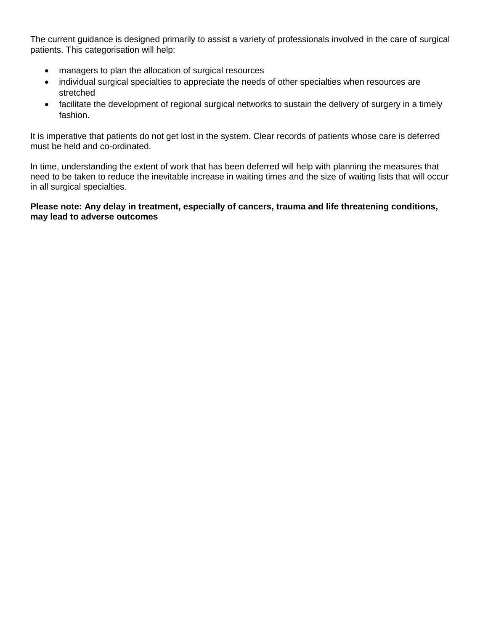The current guidance is designed primarily to assist a variety of professionals involved in the care of surgical patients. This categorisation will help:

- managers to plan the allocation of surgical resources
- individual surgical specialties to appreciate the needs of other specialties when resources are stretched
- facilitate the development of regional surgical networks to sustain the delivery of surgery in a timely fashion.

It is imperative that patients do not get lost in the system. Clear records of patients whose care is deferred must be held and co-ordinated.

In time, understanding the extent of work that has been deferred will help with planning the measures that need to be taken to reduce the inevitable increase in waiting times and the size of waiting lists that will occur in all surgical specialties.

## **Please note: Any delay in treatment, especially of cancers, trauma and life threatening conditions, may lead to adverse outcomes**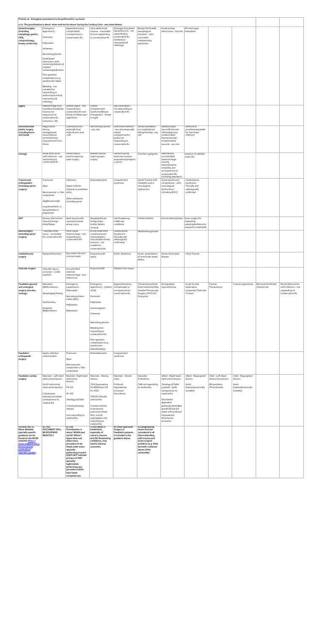| Priority 1a - Emergency procedures to be performed in <24 hours |                                               |                                                   |                                                                                                         |                                                                |                                               |                                                    |                                      |                                             |                                  |                     |                                       |
|-----------------------------------------------------------------|-----------------------------------------------|---------------------------------------------------|---------------------------------------------------------------------------------------------------------|----------------------------------------------------------------|-----------------------------------------------|----------------------------------------------------|--------------------------------------|---------------------------------------------|----------------------------------|---------------------|---------------------------------------|
|                                                                 |                                               |                                                   | (n.b. This prioritisation is about 'when and not by whom' during the Covid19 Crisis - see notes below). |                                                                |                                               |                                                    |                                      |                                             |                                  |                     |                                       |
| <b>General surgery</b><br>(including                            | Emergency<br>laparotomy -                     | Appendicectomy -<br>complicated/                  | Intra-abdominal<br>trauma - unsuitable                                                                  | Drainage of localised<br>sepsis/necrosis - not                 | <b>Benign Perforated</b><br>oesophagus/       | Acute airway<br>obstruction - thyroid              | All solid organ<br>transplants       |                                             |                                  |                     |                                       |
| oesophago-gastric,<br>HPB,                                      | Peritonitis                                   | unresponsive to<br>conservative Rx                | for/not responding<br>to conservative Rx                                                                | responding to<br>conservative Rx                               | stomach - with<br>survivable                  |                                                    |                                      |                                             |                                  |                     |                                       |
| coloproctology,<br>breast, endocrine)                           | Perforation                                   |                                                   |                                                                                                         | (antibiotics/<br>Interventional                                | mediastinitis/<br>peritonitis                 |                                                    |                                      |                                             |                                  |                     |                                       |
|                                                                 | Ischaemia                                     |                                                   |                                                                                                         | radiology)                                                     |                                               |                                                    |                                      |                                             |                                  |                     |                                       |
|                                                                 | Necrotising fasciitis                         |                                                   |                                                                                                         |                                                                |                                               |                                                    |                                      |                                             |                                  |                     |                                       |
|                                                                 | Small bowel<br>obstruction -with              |                                                   |                                                                                                         |                                                                |                                               |                                                    |                                      |                                             |                                  |                     |                                       |
|                                                                 | concerning features of<br>incipient           |                                                   |                                                                                                         |                                                                |                                               |                                                    |                                      |                                             |                                  |                     |                                       |
|                                                                 | ischaemia/perforation<br>Post-operative       |                                                   |                                                                                                         |                                                                |                                               |                                                    |                                      |                                             |                                  |                     |                                       |
|                                                                 | complications (e.g.<br>anastomotic leaks)     |                                                   |                                                                                                         |                                                                |                                               |                                                    |                                      |                                             |                                  |                     |                                       |
|                                                                 | Bleeding - not                                |                                                   |                                                                                                         |                                                                |                                               |                                                    |                                      |                                             |                                  |                     |                                       |
|                                                                 | suitable for/<br>responding to                |                                                   |                                                                                                         |                                                                |                                               |                                                    |                                      |                                             |                                  |                     |                                       |
|                                                                 | endoscopic/control/<br>interventional         |                                                   |                                                                                                         |                                                                |                                               |                                                    |                                      |                                             |                                  |                     |                                       |
|                                                                 | radiology                                     |                                                   |                                                                                                         |                                                                |                                               |                                                    |                                      |                                             |                                  |                     |                                       |
| <b>OMFS</b>                                                     | Haemorrhage from<br>maxillary/mandibular      | Dental Sepsis - not<br>responding to              | Orbital<br>Compartment                                                                                  | Jaw Dislocation -<br>not responding to                         |                                               |                                                    |                                      |                                             |                                  |                     |                                       |
|                                                                 | trauma not<br>responsive to                   | conservative Rx and<br>threat to life/airway/     | Syndrome/Muscle<br>Entrapment - threat                                                                  | conservative Rx                                                |                                               |                                                    |                                      |                                             |                                  |                     |                                       |
|                                                                 | conservative Rx<br>(reduction + IR)           | sight/brain.                                      | to sight                                                                                                |                                                                |                                               |                                                    |                                      |                                             |                                  |                     |                                       |
| Reconstructive<br>plastic surgery                               | Major burns -<br>Airway                       | Chemical burns -<br>especially Eye/               | <b>Necrotising Fasciitis</b><br>any site                                                                | Soft tissue infection<br>any site (especially                  | Revascularisation/<br>re-implantation/        | Washout open<br>wound/fractures/                   | Removal of<br>prosthesis/expander    |                                             |                                  |                     |                                       |
| including burns<br>and hands                                    | management/<br>resuscitation/                 | Hydrofluoric acid<br>$>2\%$                       |                                                                                                         | closed<br>compartments/                                        | failing free flap - any<br>site               | infected/grossly<br>contaminated                   | for fulminant<br>infection           |                                             |                                  |                     |                                       |
|                                                                 | escharotomies/<br>amputations/Toxic           |                                                   |                                                                                                         | joints) not<br>responding to                                   |                                               | (human/animal/<br>contaminated)                    |                                      |                                             |                                  |                     |                                       |
|                                                                 | Shock                                         |                                                   |                                                                                                         | conservative Rx                                                |                                               | wounds - any site                                  |                                      |                                             |                                  |                     |                                       |
|                                                                 | Renal obstruction                             | Renal/ureteric                                    | Bladder trauma                                                                                          | Genital trauma/                                                |                                               | Haematuria/                                        |                                      |                                             |                                  |                     |                                       |
| Urology                                                         | with infection - not<br>responding to         | trauma requiring<br>open surgery                  | requiring open<br>surgery                                                                               | testicular torsion/<br>amputation/priapism                     | Fournier's gangrene                           | uncontrolled<br>haemorrhage -                      | Insertion of catheter<br>under GA    |                                             |                                  |                     |                                       |
|                                                                 | conservative Rx                               |                                                   |                                                                                                         | $(>24)$ hrs)                                                   |                                               | causing<br>haemodynamic                            |                                      |                                             |                                  |                     |                                       |
|                                                                 |                                               |                                                   |                                                                                                         |                                                                |                                               | instability and<br>unresponsive to                 |                                      |                                             |                                  |                     |                                       |
|                                                                 |                                               |                                                   |                                                                                                         |                                                                |                                               | conservative Rx<br>(including paediatric)          |                                      |                                             |                                  |                     |                                       |
| Trauma and<br>orthopaedics                                      | Fractures -                                   | Infection -                                       | Dislocated joints                                                                                       | Compartment<br>syndrome                                        | Spinal Trauma with<br>instability and or      | Acute spinal cord<br>compression - with            | Cauda Equina<br>Syndrome -           |                                             |                                  |                     |                                       |
| (including spinal<br>surgery)                                   | Open                                          | Septic arthritis -<br>(natural or prosthetic      |                                                                                                         |                                                                | neurological<br>dysfunction                   | neurological<br>dysfunction -                      | Clinically and<br>radiologically     |                                             |                                  |                     |                                       |
|                                                                 | Neurovascular +/- Skin   joint)<br>compromise |                                                   |                                                                                                         |                                                                |                                               | including MSCC                                     | confirmed.                           |                                             |                                  |                     |                                       |
|                                                                 | Hip/femoral shaft                             | Other metalwork<br>(including spine)              |                                                                                                         |                                                                |                                               |                                                    |                                      |                                             |                                  |                     |                                       |
|                                                                 | Long bone/Pelvic +/-                          |                                                   |                                                                                                         |                                                                |                                               |                                                    |                                      |                                             |                                  |                     |                                       |
|                                                                 | Spinal fixation in<br>polytrauma              |                                                   |                                                                                                         |                                                                |                                               |                                                    |                                      |                                             |                                  |                     |                                       |
| <b>ENT</b>                                                      | Airway obstruction -                          | Neck trauma with                                  | Nasal/ear/throat                                                                                        | Life threatening                                               | Orbital cellulitis                            | Uncontrolled epistaxis Sinus surgery for           |                                      |                                             |                                  |                     |                                       |
|                                                                 | Cancer/Foreign<br>body/Sepsis                 | vascular/visceral/<br>airway injury               | foreign body -<br>button battery                                                                        | middle ear<br>conditions                                       |                                               |                                                    | impending<br>catastrophe/failure to  |                                             |                                  |                     |                                       |
| Neurosurgery                                                    | Traumatic Brain                               | Intra-cranial                                     | removal<br>Acute raised Intra                                                                           | Cauda Equina                                                   | Myelomeningocoele                             |                                                    | respond to medical Rx                |                                             |                                  |                     |                                       |
| (including spinal<br>surgery)                                   | injury - unsuitable<br>for conservative RX    | haemorrhage - not<br>responding to                | cranial pressure/<br>Hydrocephalus                                                                      | Syndrome -<br>Clinically and                                   |                                               |                                                    |                                      |                                             |                                  |                     |                                       |
|                                                                 |                                               | conservative RX                                   | (recoverable stroke/<br>tumour) - not                                                                   | radiologically<br>confirmed.                                   |                                               |                                                    |                                      |                                             |                                  |                     |                                       |
|                                                                 |                                               |                                                   | suitable for<br>conservative Rx                                                                         |                                                                |                                               |                                                    |                                      |                                             |                                  |                     |                                       |
| Cardiothoracic                                                  | Ruptured bronchus                             | Myocardial infarction                             | Empyema with                                                                                            | Aortic dissection                                              | Acute presentation                            | Acute mitral valve                                 | Chest Trauma                         |                                             |                                  |                     |                                       |
| surgery                                                         |                                               | imminent death                                    | sepsis                                                                                                  |                                                                | of ventricular septal<br>defect               | disease                                            |                                      |                                             |                                  |                     |                                       |
|                                                                 |                                               |                                                   |                                                                                                         |                                                                |                                               |                                                    |                                      |                                             |                                  |                     |                                       |
| Vascular surgery                                                | Vascular injury/<br>occlusion - Limb/         | Uncontrolled<br>external                          | Ruptured AAA                                                                                            | Diabetic foot sepsis                                           |                                               |                                                    |                                      |                                             |                                  |                     |                                       |
|                                                                 | Gut/SVC                                       | haemorrhage - any<br>site/source                  |                                                                                                         |                                                                |                                               |                                                    |                                      |                                             |                                  |                     |                                       |
| Paediatric general                                              | Neonatal                                      | Emergency                                         | Emergency                                                                                               | Appendicectomy -                                               | Thoracotomy/Chest                             | Strangulated                                       | Acute Scrotal                        | Trauma                                      | Trauma Laparotomy                | Removal of Infected | Renal Obstruction                     |
| and urological<br>surgery (see also                             | Malformations -                               | Laparotomy -<br>(Neonatal) -                      | laparotomy - (Infant/<br>child)                                                                         | Complicated or<br>unresponsive to                              | Drain Insertion/Video<br>Assisted Thorascopic | inquinal hernia                                    | Exploration<br>(suspected Testicular | Thoracotomy                                 |                                  | Central Line        | with infection - not<br>responding to |
| urology)                                                        | Oesophageal Atresia,                          | Necrotising Entero-                               | Peritonitis                                                                                             | conservative Rx                                                | Surgery (VATS) for<br>Empyema                 |                                                    | Torsion)                             |                                             |                                  |                     | Conservative Rx                       |
|                                                                 | Gastroschisis,                                | Colitis (NEC),                                    | Perforation                                                                                             |                                                                |                                               |                                                    |                                      |                                             |                                  |                     |                                       |
|                                                                 | Anorectal                                     | Perforation,                                      | Intussusception                                                                                         |                                                                |                                               |                                                    |                                      |                                             |                                  |                     |                                       |
|                                                                 | <b>Malformations</b>                          | Malrotation                                       | Ischaemia                                                                                               |                                                                |                                               |                                                    |                                      |                                             |                                  |                     |                                       |
|                                                                 |                                               |                                                   |                                                                                                         |                                                                |                                               |                                                    |                                      |                                             |                                  |                     |                                       |
|                                                                 |                                               |                                                   | Necrotising fasciitis                                                                                   |                                                                |                                               |                                                    |                                      |                                             |                                  |                     |                                       |
|                                                                 |                                               |                                                   | Bleeding (not<br>responding to                                                                          |                                                                |                                               |                                                    |                                      |                                             |                                  |                     |                                       |
|                                                                 |                                               |                                                   | conservative Rx)<br>Post-operative                                                                      |                                                                |                                               |                                                    |                                      |                                             |                                  |                     |                                       |
|                                                                 |                                               |                                                   | complications (e.g.,                                                                                    |                                                                |                                               |                                                    |                                      |                                             |                                  |                     |                                       |
|                                                                 |                                               |                                                   | anastomotic<br>leaks/bleeding)                                                                          |                                                                |                                               |                                                    |                                      |                                             |                                  |                     |                                       |
| Paediatric<br>orthopaedic                                       | Septic arthritis/<br>osteomyelitis            | Fractures -                                       | Dislocated joints                                                                                       | Compartment<br>syndrome                                        |                                               |                                                    |                                      |                                             |                                  |                     |                                       |
| surgery                                                         |                                               | Open                                              |                                                                                                         |                                                                |                                               |                                                    |                                      |                                             |                                  |                     |                                       |
|                                                                 |                                               | Neurovascular<br>compromise +/-Skin               |                                                                                                         |                                                                |                                               |                                                    |                                      |                                             |                                  |                     |                                       |
|                                                                 |                                               | compromise                                        |                                                                                                         |                                                                |                                               |                                                    |                                      |                                             |                                  |                     |                                       |
| Paediatric cardiac<br>surgery                                   | Neonate - Left heart<br>obstructive lesions - | Neonate - Right heart<br>obstructive<br>lesions - | Neonate - Mixing<br>lesions -                                                                           | Neonate - Shunt/<br>stent -                                    | Neonate -<br>Arrhythmia                       | Infant - Right heart<br>obstructive lesions -      | Infant - Regurgitant<br>lesions -    | Child - Left heart<br>obstructive lesions - | Child - Regurgitant<br>lesions - |                     |                                       |
|                                                                 | HLHS (restrictive/<br>intact atrial septum)   | PA-IVS                                            | TGA (hypoxaemia<br>for BAS/Intact IVS                                                                   | Profound<br>hypoxaemia/                                        | CHB not responding<br>to medical Rx.          | <b>Tetralogy of Fallot</b><br>(cyanotic spells     | Aortic<br>(haemodynamically          | MV prosthesis<br>(Thrombosed)               | Aortic<br>(haemodynamically      |                     |                                       |
|                                                                 | Critical aortic                               | PA-VSD                                            | for ASO)                                                                                                | occlusion/<br>thrombosis)                                      |                                               | unresponsive to<br>medical Rx)                     | unstable)                            |                                             | unstable)                        |                     |                                       |
|                                                                 | stenosis/coarctation<br>(unresponsive to      | Tetralogy of Fallot                               | TAPVD (clinically<br>obstructed)                                                                        |                                                                |                                               | Shunt/stent                                        |                                      |                                             |                                  |                     |                                       |
|                                                                 | medical Rx)                                   |                                                   | Common arterial                                                                                         |                                                                |                                               | dependent<br>pulmonary blood flow                  |                                      |                                             |                                  |                     |                                       |
|                                                                 |                                               | Critical pulmonary<br>stenosis                    | trunk (excess                                                                                           |                                                                |                                               | (pre BCPC/pre biV                                  |                                      |                                             |                                  |                     |                                       |
|                                                                 |                                               | (not responding to                                | pulmonary blood<br>flow, truncal                                                                        |                                                                |                                               | repair with profound<br>hypoxaemia/<br>thrombosis/ |                                      |                                             |                                  |                     |                                       |
|                                                                 |                                               | medical Rx)                                       | requrgitation not<br>responding to                                                                      |                                                                |                                               | occlusion)                                         |                                      |                                             |                                  |                     |                                       |
| <b>PLEASE NOTE:</b><br>More detailed                            | a) THIS<br><b>DOCUMENT WILL</b>               | b) This<br>Prioritisation is                      | medical Rx)<br>c) Any delay in<br>treatment,                                                            | d) Other Specialist                                            | e) Safeguarding<br>issues must be             |                                                    |                                      |                                             |                                  |                     |                                       |
| specialty specific<br>guidance can be                           | <b>BE REVIEWED</b><br><b>MONTHLY</b>          | about 'WHEN and<br>not BY Whom'.                  | especially of<br>cancers, trauma                                                                        | Surgery in<br><b>Paediatric patients</b><br>is included in the | considered in all<br>those attending          |                                                    |                                      |                                             |                                  |                     |                                       |
| found on the NHSE<br>website https://                           |                                               | Space does not<br>allow every                     | and life threatening<br>conditions, may                                                                 | quidance above.                                                | with trauma and<br>acute surgical             |                                                    |                                      |                                             |                                  |                     |                                       |
| www.england.nhs.u<br>k/coronavirus/                             |                                               | procedure to be<br>listed under every             | lead to adverse<br>outcomes.                                                                            |                                                                | problems (e.g. NAI/<br>domestic violence/     |                                                    |                                      |                                             |                                  |                     |                                       |
| publication/<br>specialty-quides/                               |                                               | specialty<br>performing it and it                 |                                                                                                         |                                                                | abuse of the<br>vulnerable)                   |                                                    |                                      |                                             |                                  |                     |                                       |
|                                                                 |                                               | <b>DOES NOT indicate</b><br>primacy of ANY        |                                                                                                         |                                                                |                                               |                                                    |                                      |                                             |                                  |                     |                                       |
|                                                                 |                                               | specialty<br>legitimately                         |                                                                                                         |                                                                |                                               |                                                    |                                      |                                             |                                  |                     |                                       |
|                                                                 |                                               | performing any<br>procedure within                |                                                                                                         |                                                                |                                               |                                                    |                                      |                                             |                                  |                     |                                       |
|                                                                 |                                               | their listed<br>competencies.                     |                                                                                                         |                                                                |                                               |                                                    |                                      |                                             |                                  |                     |                                       |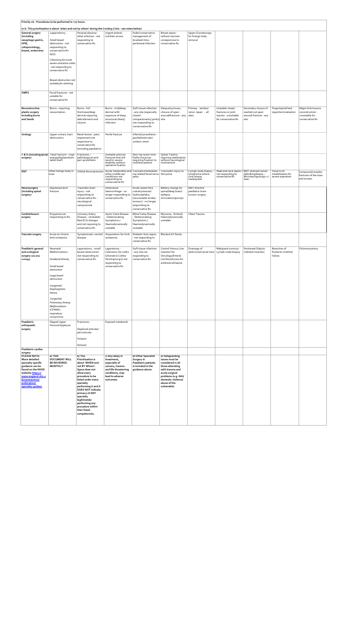|                                       | Priority 1b - Procedures to be performed in <72 hours.                   |                                                                                                        |                                                         |                                                 |                                              |                                                           |                                            |                                                     |                                        |                                      |
|---------------------------------------|--------------------------------------------------------------------------|--------------------------------------------------------------------------------------------------------|---------------------------------------------------------|-------------------------------------------------|----------------------------------------------|-----------------------------------------------------------|--------------------------------------------|-----------------------------------------------------|----------------------------------------|--------------------------------------|
|                                       |                                                                          | (n.b. This prioritisation is about 'when and not by whom' during the Covid19 Crisis - see notes below) |                                                         |                                                 |                                              |                                                           |                                            |                                                     |                                        |                                      |
| General surgery                       | Laparotomy -                                                             | Perianal abscess/                                                                                      | Urgent enteral                                          | Failed conservative                             | Breast sepsis -                              | Upper GI endoscopy                                        |                                            |                                                     |                                        |                                      |
| (including                            | Small bowel                                                              | other infection - not                                                                                  | nutrition access                                        | management of<br>localised intra-               | without necrosis                             | for foreign body<br>removal                               |                                            |                                                     |                                        |                                      |
| oesophago-gastric,<br>HPB,            | obstruction - not                                                        | responding to<br>conservative Rx.                                                                      |                                                         | peritoneal infection                            | unresponsive to<br>conservative Rx           |                                                           |                                            |                                                     |                                        |                                      |
| coloproctology,                       | responding to                                                            |                                                                                                        |                                                         |                                                 |                                              |                                                           |                                            |                                                     |                                        |                                      |
| breast, endocrine)                    | conservative Rx<br>NOS.                                                  |                                                                                                        |                                                         |                                                 |                                              |                                                           |                                            |                                                     |                                        |                                      |
|                                       |                                                                          |                                                                                                        |                                                         |                                                 |                                              |                                                           |                                            |                                                     |                                        |                                      |
|                                       | Colectomy for acute<br>severe ulcerative colitis                         |                                                                                                        |                                                         |                                                 |                                              |                                                           |                                            |                                                     |                                        |                                      |
|                                       | - not responding to                                                      |                                                                                                        |                                                         |                                                 |                                              |                                                           |                                            |                                                     |                                        |                                      |
|                                       | conservative Rx                                                          |                                                                                                        |                                                         |                                                 |                                              |                                                           |                                            |                                                     |                                        |                                      |
|                                       |                                                                          |                                                                                                        |                                                         |                                                 |                                              |                                                           |                                            |                                                     |                                        |                                      |
|                                       | Bowel obstruction not                                                    |                                                                                                        |                                                         |                                                 |                                              |                                                           |                                            |                                                     |                                        |                                      |
|                                       | suitable for stenting.                                                   |                                                                                                        |                                                         |                                                 |                                              |                                                           |                                            |                                                     |                                        |                                      |
| <b>OMFS</b>                           | Facial fractures - not                                                   |                                                                                                        |                                                         |                                                 |                                              |                                                           |                                            |                                                     |                                        |                                      |
|                                       | suitable for                                                             |                                                                                                        |                                                         |                                                 |                                              |                                                           |                                            |                                                     |                                        |                                      |
|                                       | conservative Rx                                                          |                                                                                                        |                                                         |                                                 |                                              |                                                           |                                            |                                                     |                                        |                                      |
| Reconstructive                        | Burns - requiring                                                        | Burns - full                                                                                           | Burns - mid/deep                                        | Soft tissue infection                           | Delayed primary                              | Primary tendon/                                           | Unstable closed                            | Secondary closure of                                | Fingertip/nail bed                     | Major limb trauma                    |
| plastic surgery                       | resuscitation.                                                           | thickness/deep                                                                                         | dermal with                                             | any site (especially                            | closure of open                              | nerve repair - all                                        | fractures or joint                         | washed out open                                     | repair/terminalisation                 | reconstruction                       |
| including burns                       |                                                                          | dermal requiring                                                                                       | exposure of deep                                        | closed                                          | wound/fracture - any sites.                  |                                                           | injuries - unsuitable                      | wound/fracture - any                                |                                        | unsuitable for                       |
| and hands                             |                                                                          | debridement and<br>closure                                                                             | structures likely/<br>infection                         | compartments/ joints) site<br>not responding to |                                              |                                                           | for conservative Rx                        | site                                                |                                        | conservative Rx                      |
|                                       |                                                                          |                                                                                                        |                                                         | conservative Rx                                 |                                              |                                                           |                                            |                                                     |                                        |                                      |
|                                       |                                                                          |                                                                                                        |                                                         |                                                 |                                              |                                                           |                                            |                                                     |                                        |                                      |
| Urology                               | Upper urinary tract<br>obstruction                                       | Renal stones - pain/<br>impairment not                                                                 | Penile fracture                                         | Infected prosthesis -<br>penile/testicular/     |                                              |                                                           |                                            |                                                     |                                        |                                      |
|                                       |                                                                          | responsive to                                                                                          |                                                         | ureteric stent                                  |                                              |                                                           |                                            |                                                     |                                        |                                      |
|                                       |                                                                          | conservative Rx<br>(including paediatric)                                                              |                                                         |                                                 |                                              |                                                           |                                            |                                                     |                                        |                                      |
|                                       |                                                                          |                                                                                                        |                                                         |                                                 |                                              |                                                           |                                            |                                                     |                                        |                                      |
| surgery)                              | T & O (including spinal   Tibial fracture - high<br>energy/displaced/uns | $Fractures -$<br>pathological and                                                                      | Unstable articular<br>fractures that will               | Non-hip lower limb<br>frailty fractures         | Spinal Trauma<br>requiring stabilisation     |                                                           |                                            |                                                     |                                        |                                      |
|                                       | table shaft                                                              | peri-prosthetic                                                                                        | result in severe<br>disability without                  | requiring fixation to<br>mobilise patient       | without neurological<br>involvement          |                                                           |                                            |                                                     |                                        |                                      |
|                                       |                                                                          |                                                                                                        | operative fixation                                      |                                                 |                                              |                                                           |                                            |                                                     |                                        |                                      |
| <b>ENT</b>                            | Other foreign body in                                                    | Orbital decompression                                                                                  | Acute mastoiditis and<br>other middle ear               | Traumatic/cholesteato                           | Traumatic injury to<br>the pinna             | Lymph node biopsy -<br>lymphoma where                     | Head and neck sepsis = MDT directed cancer |                                                     | Vocal Cord                             | Compound/complex                     |
|                                       | nose                                                                     |                                                                                                        | conditions not<br>responding to                         | ma related facial nerve<br>palsy                |                                              | core biopsy                                               | not responding to<br>conservative Rx       | debulking/biopsy-<br>Microlaryngoscopy +/-<br>laser | medialisation for<br>severe aspiration | fractures of the nose<br>and sinuses |
|                                       |                                                                          |                                                                                                        | conservative Rx                                         |                                                 |                                              | inadequate                                                |                                            |                                                     |                                        |                                      |
| Neurosurgery                          | Depressed skull                                                          | Traumatic brain                                                                                        | Intracranial                                            | Acute raised Intra                              | Battery change for                           | <b>MDT</b> directed                                       |                                            |                                                     |                                        |                                      |
| (including spinal                     | fracture                                                                 | injury - not                                                                                           | haemorrhage - no                                        | cranial pressure/                               | spinal/deep brain/                           | paediatric brain                                          |                                            |                                                     |                                        |                                      |
| surgery)                              |                                                                          | responding to<br>conservative Rx -                                                                     | longer responding to   hydrocephalus<br>conservative Rx | (recoverable stroke/                            | epilepsy<br>stimulators/pumps                | tumour surgery                                            |                                            |                                                     |                                        |                                      |
|                                       |                                                                          | neurological                                                                                           |                                                         | tumour) - no longer                             |                                              |                                                           |                                            |                                                     |                                        |                                      |
|                                       |                                                                          | compromise                                                                                             |                                                         | responding to                                   |                                              |                                                           |                                            |                                                     |                                        |                                      |
|                                       |                                                                          |                                                                                                        |                                                         | conservative Rx                                 |                                              |                                                           |                                            |                                                     |                                        |                                      |
| Cardiothoracic<br>surgery             | Empyema not<br>responding to Rx                                          | Coronary Artery<br>Disease - Unstable/                                                                 | Aortic Valve Disease<br>- Deteriorating                 | Mitral Valve Disease<br>Deteriorating           | Myxoma - Emboli/<br>Haemodynamically         | Chest Trauma                                              |                                            |                                                     |                                        |                                      |
|                                       |                                                                          | Rest ECG changes                                                                                       | Symptoms /                                              | Symptoms /                                      | unstable                                     |                                                           |                                            |                                                     |                                        |                                      |
|                                       |                                                                          | and not reposing to<br>conservative Rx                                                                 | Haemodynamically<br>unstable                            | Haemodynamically<br>unstable                    |                                              |                                                           |                                            |                                                     |                                        |                                      |
|                                       |                                                                          |                                                                                                        |                                                         |                                                 |                                              |                                                           |                                            |                                                     |                                        |                                      |
| Vascular surgery                      | Acute on chronic<br>limb ischaemia                                       | Symptomatic carotid<br>disease                                                                         | Amputation for limb<br>ischaemia                        | Diabetic foot sepsis<br>not responding to       | Blocked AV fistula                           |                                                           |                                            |                                                     |                                        |                                      |
|                                       |                                                                          |                                                                                                        |                                                         | conservative Rx                                 |                                              |                                                           |                                            |                                                     |                                        |                                      |
|                                       |                                                                          |                                                                                                        |                                                         |                                                 |                                              |                                                           |                                            |                                                     |                                        |                                      |
| Paediatric general<br>and urological  | Neonatal<br>Malformations -                                              | Laparotomy - small<br>bowel obstruction                                                                | Laparotomy -<br>Colectomy for colitis                   | Soft tissue infection<br>any site not           | Central Venous Line<br>insertion for         | Drainage of<br>obstructed renal tract   Lymph node biopsy | Malignant tumour/                          | Peritoneal Dialysis<br>Catheter Insertion           | Resection of<br>Posterior Urethral     | Pyloromyotomy                        |
| surgery (see also                     |                                                                          | not responding to                                                                                      | (Ulcerative Colitis/                                    | responding to                                   | Oncology/Enteral                             |                                                           |                                            |                                                     | Valves                                 |                                      |
| urology)                              | Duodenal Atresia,                                                        | conservative Rx                                                                                        | Hirschsprung's) not<br>responding to                    | conservative Rx                                 | nutrition/Access for<br>antibiotics/Dialysis |                                                           |                                            |                                                     |                                        |                                      |
|                                       | Small bowel                                                              |                                                                                                        | conservative Rx                                         |                                                 |                                              |                                                           |                                            |                                                     |                                        |                                      |
|                                       | obstruction                                                              |                                                                                                        |                                                         |                                                 |                                              |                                                           |                                            |                                                     |                                        |                                      |
|                                       | Large bowel                                                              |                                                                                                        |                                                         |                                                 |                                              |                                                           |                                            |                                                     |                                        |                                      |
|                                       | obstruction                                                              |                                                                                                        |                                                         |                                                 |                                              |                                                           |                                            |                                                     |                                        |                                      |
|                                       | Congenital                                                               |                                                                                                        |                                                         |                                                 |                                              |                                                           |                                            |                                                     |                                        |                                      |
|                                       | Diaphragmatic<br>Hernia                                                  |                                                                                                        |                                                         |                                                 |                                              |                                                           |                                            |                                                     |                                        |                                      |
|                                       |                                                                          |                                                                                                        |                                                         |                                                 |                                              |                                                           |                                            |                                                     |                                        |                                      |
|                                       | Congenital<br>Pulmonary Airway                                           |                                                                                                        |                                                         |                                                 |                                              |                                                           |                                            |                                                     |                                        |                                      |
|                                       | <b>Malformations</b>                                                     |                                                                                                        |                                                         |                                                 |                                              |                                                           |                                            |                                                     |                                        |                                      |
|                                       | (CPAMS) -<br>respiratory                                                 |                                                                                                        |                                                         |                                                 |                                              |                                                           |                                            |                                                     |                                        |                                      |
|                                       | compromise                                                               |                                                                                                        |                                                         |                                                 |                                              |                                                           |                                            |                                                     |                                        |                                      |
| Paediatric                            | Slipped Upper                                                            | Fractures -                                                                                            | Exposed metalwork                                       |                                                 |                                              |                                                           |                                            |                                                     |                                        |                                      |
| orthopaedic                           | Femoral Epiphysis                                                        |                                                                                                        |                                                         |                                                 |                                              |                                                           |                                            |                                                     |                                        |                                      |
| surgery                               |                                                                          | Displaced articular/<br>peri-articular                                                                 |                                                         |                                                 |                                              |                                                           |                                            |                                                     |                                        |                                      |
|                                       |                                                                          | Forearm                                                                                                |                                                         |                                                 |                                              |                                                           |                                            |                                                     |                                        |                                      |
|                                       |                                                                          |                                                                                                        |                                                         |                                                 |                                              |                                                           |                                            |                                                     |                                        |                                      |
|                                       |                                                                          | Femoral                                                                                                |                                                         |                                                 |                                              |                                                           |                                            |                                                     |                                        |                                      |
| Paediatric cardiac<br>surgery         |                                                                          |                                                                                                        |                                                         |                                                 |                                              |                                                           |                                            |                                                     |                                        |                                      |
| <b>PLEASE NOTE:</b>                   | a) THIS                                                                  | b) This                                                                                                | c) Any delay in                                         | d) Other Specialist                             | e) Safeguarding                              |                                                           |                                            |                                                     |                                        |                                      |
| More detailed<br>specialty specific   | <b>DOCUMENT WILL</b><br><b>BE REVIEWED</b>                               | Prioritisation is<br>about 'WHEN and                                                                   | treatment,<br>especially of                             | Surgery in<br>Paediatric patients               | issues must be<br>considered in all          |                                                           |                                            |                                                     |                                        |                                      |
| guidance can be                       | <b>MONTHLY</b>                                                           | not BY Whom'.                                                                                          | cancers, trauma                                         | is included in the                              | those attending                              |                                                           |                                            |                                                     |                                        |                                      |
| found on the NHSE<br>website https:// |                                                                          | Space does not<br>allow every                                                                          | and life threatening<br>conditions, may                 | guidance above.                                 | with trauma and<br>acute surgical            |                                                           |                                            |                                                     |                                        |                                      |
| www.england.nhs.u                     |                                                                          | procedure to be                                                                                        | lead to adverse                                         |                                                 | problems (e.g. NAI/                          |                                                           |                                            |                                                     |                                        |                                      |
| k/coronavirus/<br>publication/        |                                                                          | listed under every<br>specialty                                                                        | outcomes.                                               |                                                 | domestic violence/<br>abuse of the           |                                                           |                                            |                                                     |                                        |                                      |
| specialty-quides/                     |                                                                          | performing it and it                                                                                   |                                                         |                                                 | vulnerable)                                  |                                                           |                                            |                                                     |                                        |                                      |
|                                       |                                                                          | <b>DOES NOT indicate</b>                                                                               |                                                         |                                                 |                                              |                                                           |                                            |                                                     |                                        |                                      |
|                                       |                                                                          | primacy of ANY<br>specialty                                                                            |                                                         |                                                 |                                              |                                                           |                                            |                                                     |                                        |                                      |
|                                       |                                                                          | legitimately                                                                                           |                                                         |                                                 |                                              |                                                           |                                            |                                                     |                                        |                                      |
|                                       |                                                                          | performing any<br>procedure within                                                                     |                                                         |                                                 |                                              |                                                           |                                            |                                                     |                                        |                                      |
|                                       |                                                                          | their listed                                                                                           |                                                         |                                                 |                                              |                                                           |                                            |                                                     |                                        |                                      |
|                                       |                                                                          | competencies.                                                                                          |                                                         |                                                 |                                              |                                                           |                                            |                                                     |                                        |                                      |
|                                       |                                                                          |                                                                                                        |                                                         |                                                 |                                              |                                                           |                                            |                                                     |                                        |                                      |
|                                       |                                                                          |                                                                                                        |                                                         |                                                 |                                              |                                                           |                                            |                                                     |                                        |                                      |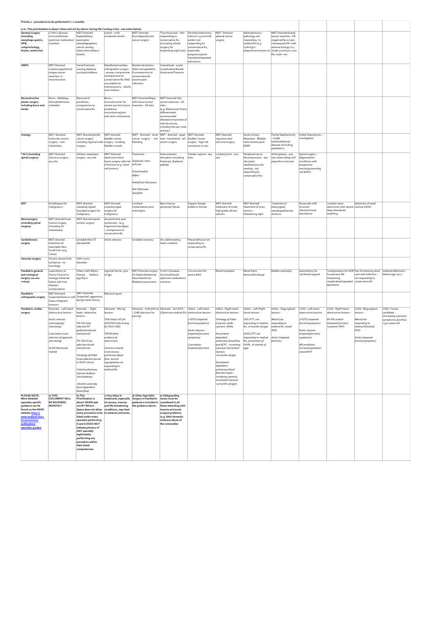|                                                                                                                                                                                                    | Priority 2 - procedures to be performed in < 1 months.                                                     |                                                                                                                                                                                                                                                                                   |                                                                                                                                                                        |                                                                                                                                                       |                                                                                                                                                                                                    |                                                                             |                                                                                                                            |                                                                                                                                 |                                                                                                            |                                                                                                          |                                                                                                                                                               |                                                          |                                                        |
|----------------------------------------------------------------------------------------------------------------------------------------------------------------------------------------------------|------------------------------------------------------------------------------------------------------------|-----------------------------------------------------------------------------------------------------------------------------------------------------------------------------------------------------------------------------------------------------------------------------------|------------------------------------------------------------------------------------------------------------------------------------------------------------------------|-------------------------------------------------------------------------------------------------------------------------------------------------------|----------------------------------------------------------------------------------------------------------------------------------------------------------------------------------------------------|-----------------------------------------------------------------------------|----------------------------------------------------------------------------------------------------------------------------|---------------------------------------------------------------------------------------------------------------------------------|------------------------------------------------------------------------------------------------------------|----------------------------------------------------------------------------------------------------------|---------------------------------------------------------------------------------------------------------------------------------------------------------------|----------------------------------------------------------|--------------------------------------------------------|
|                                                                                                                                                                                                    | (n.b. This prioritisation is about 'when and not by whom' during the Covid19 Crisis - see notes below)     |                                                                                                                                                                                                                                                                                   |                                                                                                                                                                        |                                                                                                                                                       |                                                                                                                                                                                                    |                                                                             |                                                                                                                            |                                                                                                                                 |                                                                                                            |                                                                                                          |                                                                                                                                                               |                                                          |                                                        |
| General surgery<br>(including<br>oesophago-gastric,                                                                                                                                                | Crohn's disease -<br>stricture/fistula/<br>optimise medication/ pancreatic/                                | <b>MDT Directed</b><br>hepatobiliary/                                                                                                                                                                                                                                             | Goitre - mild<br>moderate stridor                                                                                                                                      | <b>MDT Directed</b><br>thyroid/parathyroid<br>cancer surgery                                                                                          | Thyrotoxicosis - Not<br>responding to<br>conservative Rx.                                                                                                                                          | Parathyroidectomy -<br>calcium >3.ommol/l<br>and/or not                     | <b>MDT</b> Directed<br>adrenal cancer<br>surgery                                                                           | Adrenalectomy -<br>pathology not<br>responding to                                                                               | <b>MDT Directed breast</b><br>cancer resection - ER<br>negative/Her2+/pre-                                 |                                                                                                          |                                                                                                                                                               |                                                          |                                                        |
| HPB,<br>coloproctology,<br>breast, endocrine)                                                                                                                                                      | nutrition.                                                                                                 | oesophagogastric<br>cancer causing<br>obstruction (biliary/<br>bowel).                                                                                                                                                                                                            |                                                                                                                                                                        |                                                                                                                                                       | (including orbital<br>surgery for<br>impending sight loss) especially                                                                                                                              | responding to<br>conservative Rx,<br>pregnancy/post-<br>transplant/repeated |                                                                                                                            | medical Rx (e.g.<br>Cushing's/                                                                                                  | menopausal ER+ with<br>adverse biology (i.e.,<br>phaeochromocytom a) Grade 3 tumours, Low<br>ER, node +ve) |                                                                                                          |                                                                                                                                                               |                                                          |                                                        |
| <b>OMFS</b>                                                                                                                                                                                        | <b>MDT Directed</b><br>oropharyngeal/tonsil/<br>tonque cancer<br>resection +/-<br>reconstruction.          | <b>Facial Fractures</b><br>causing diplopia/<br>occlusal problems                                                                                                                                                                                                                 | Mandibular/maxillary<br>orthognathic surgery<br>airway compromise<br>unresponsive to<br>conservative Rx AND<br>unsuitable for<br>tracheostomy - adults<br>and children | Dental extractions -<br>Adult and paediatric<br>if unresponsive to<br>conservative Rx<br>(severe pain/<br>infection)                                  | Craniofacial - ocular<br>complication/Raised<br><b>Intracranial Pressure</b>                                                                                                                       | admission.                                                                  |                                                                                                                            |                                                                                                                                 |                                                                                                            |                                                                                                          |                                                                                                                                                               |                                                          |                                                        |
| Reconstructive<br>plastic surgery<br>including burns and<br>hands                                                                                                                                  | Burns - Mid/deep<br>dermal/otherwise<br>unhealed.                                                          | Removal of<br>prosthesis -<br>unresponsive to<br>conservative Rx.                                                                                                                                                                                                                 | Burns -<br>reconstruction for<br>severe eye lid closure   resection - All sites<br>problems/<br>microstomia/joint<br>and neck contracture                              | <b>MDT Directed Major</b><br>soft tissue tumour                                                                                                       | <b>MDT Directed Skin</b><br>cancer resection - All<br>sites.<br>(e.g. Melanoma/ Poorly<br>differentiated<br>cancers/nodal<br>disease/compromise of<br>vital structures,<br>including the eye, nose |                                                                             |                                                                                                                            |                                                                                                                                 |                                                                                                            |                                                                                                          |                                                                                                                                                               |                                                          |                                                        |
| Urology                                                                                                                                                                                            | MDT directed<br>testicular cancer<br>surgery - non-<br>metastatic.                                         | MDT directed penile<br>cancer surgery<br>including inquinal node surgery - invading<br>surgery.                                                                                                                                                                                   | MDT directed<br>bladder cancer<br>bladder muscle.                                                                                                                      | MDT Directed renal<br>cancer surgery - not<br>bleeding.                                                                                               | and ear).<br>MDT directed upper MDT directed<br>tract transitional cell bladder Cancer<br>cancer surgery                                                                                           | surgery - high risk<br>carcinoma-in-situ.                                   | MDT directed<br>inguinoscrotal<br>sarcoma surgery                                                                          | <b>Acute Urinary</b><br>Retention - Bladder<br>neck stenosis post<br>RARP.                                                      | Partial Nephrectomy<br>- single<br>kidney/bilateral<br>disease (including<br>paediatric)                   | Visible Haematuria--<br>investigation                                                                    |                                                                                                                                                               |                                                          |                                                        |
| T & O (including<br>spinal surgery)                                                                                                                                                                | <b>MDT Directed</b><br>Sarcoma surgery -<br>any site                                                       | Solitary metastasis<br>surgery - any site.                                                                                                                                                                                                                                        | <b>MDT Directed</b><br>destructive bone<br>lesion surgery with risk Displaced, intra-<br>of fracture (e.g. Giant<br>cell tumour)                                       | Fractures -<br>articular<br>Osteochondral<br>defect<br>Ankle/Foot Olecranon<br>Not Otherwise<br>Specified                                             | Knee extensor<br>disruption (including<br>fractured, displaced<br>patella)                                                                                                                         | Tendon rupture - any<br>sites                                               | Locked joints - any<br>site                                                                                                | Peripheral nerve<br>Decompression - any<br>site (pain/<br>weakness/muscle<br>wasting - not<br>responding to<br>conservative Rx) | Arthroplasty - any<br>site where delay will<br>prejudice outcome                                           | Spinal surgery-<br>degenerative<br>conditions with<br>progressive<br>neurology/neurolog<br>ical deficit. |                                                                                                                                                               |                                                          |                                                        |
| <b>ENT</b>                                                                                                                                                                                         | EUA/biopsy for<br>malignancy -                                                                             | MDT directed<br>nasopharyngeal/<br>laryngeal surgery for<br>malignancy                                                                                                                                                                                                            | MDT directed<br>oropharyngeal<br>surgery for<br>malignancy                                                                                                             | Cochlear<br>implantation post<br>meningitis.                                                                                                          | Baro-trauma<br>perilymph fistula                                                                                                                                                                   | Organic foreign<br>bodies in the ear.                                       | MDT directed<br>treatment of small,<br>high grade salivary<br>cancers.                                                     | MDT directed<br>treatment of sinus<br>cancers. -<br>threatening sight                                                           | Treatment of<br>pharyngeal/<br>oesophageal/airway<br>stricture                                             | Mucocoele with<br>recurrent<br>infection/visual<br>disturbance                                           | Complex nasal<br>obstruction with severe fracture (NOS)<br>sleep disordered<br>breathing                                                                      | Reduction of nasal                                       |                                                        |
| Neurosurgery<br>(including spinal<br>surgery)                                                                                                                                                      | MDT directed brain<br>tumour surgery<br>(including for<br>metastases)                                      | MDT directed spinal<br>tumour surgery                                                                                                                                                                                                                                             | Acute/chronic pain<br>syndromes - (e.g.<br>trigeminal neuralgia)<br>- unresponsive to<br>conservative Rx                                                               |                                                                                                                                                       |                                                                                                                                                                                                    |                                                                             |                                                                                                                            |                                                                                                                                 |                                                                                                            |                                                                                                          |                                                                                                                                                               |                                                          |                                                        |
| Cardiothoracic<br>surgery                                                                                                                                                                          | MDT directed<br>treatment of<br>resectable Non-<br>Small Cell Lung<br>Cancer                               | Unstable Non ST<br>elevated MI                                                                                                                                                                                                                                                    | Aortic stenosis                                                                                                                                                        | Unstable coronary                                                                                                                                     | Any deteriorating<br>heart condition                                                                                                                                                               | Pneumothorax not<br>responding to<br>conservative Rx                        |                                                                                                                            |                                                                                                                                 |                                                                                                            |                                                                                                          |                                                                                                                                                               |                                                          |                                                        |
| Vascular surgery                                                                                                                                                                                   | Chronic severe limb<br>ischaemia - no<br>neurology                                                         | AAA >7cms<br>diameter                                                                                                                                                                                                                                                             |                                                                                                                                                                        |                                                                                                                                                       |                                                                                                                                                                                                    |                                                                             |                                                                                                                            |                                                                                                                                 |                                                                                                            |                                                                                                          |                                                                                                                                                               |                                                          |                                                        |
| Paediatric general<br>and urological<br>surgery (see also<br>urology)                                                                                                                              | Laparotomy or<br>Stoma Closure to<br>manage intestinal<br>failure with liver<br>disease /<br>complications | Infant with Billary<br>(before<br>Atresia<br>age 8/52)                                                                                                                                                                                                                            | Inquinal hernia <3/12<br>of age                                                                                                                                        | MDT Directed surgery<br>for Nephroblastoma/<br>Neuroblastoma/<br>Rhabdomyosarcoma                                                                     | Crohn's Disease<br>stricture/fistula/<br>optimise medication/<br>nutrition                                                                                                                         | Circumcision for<br>severe BXO                                              | Renal transplant                                                                                                           | <b>Renal Stent</b><br>Removal/Exchange                                                                                          | Bladder exstrophy                                                                                          | Gastrostomy for<br>nutritional support                                                                   | Fundoplication for GOR Non-functioning renal Undescended testis -<br>for previous life<br>threatening<br>complication/repeated conservative Rx<br>aspirations | tract with infection<br>not responding to                | (before age 2yrs)                                      |
| Paediatric<br>orthopaedic surgery                                                                                                                                                                  | <b>MDT Directed</b><br>Suspected bone or soft Suspected, aggressive,<br>tissue malignant<br>tumours        | <b>MDT Directed</b><br>benign bone tumour                                                                                                                                                                                                                                         | Meniscal repair                                                                                                                                                        |                                                                                                                                                       |                                                                                                                                                                                                    |                                                                             |                                                                                                                            |                                                                                                                                 |                                                                                                            |                                                                                                          |                                                                                                                                                               |                                                          |                                                        |
| Paediatric cardiac<br>surgery                                                                                                                                                                      | Neonate - Left heart<br>obstructive lesions -                                                              | Neonate - Right<br>heart obstructive<br>lesions -                                                                                                                                                                                                                                 | Neonate - Mixing<br>lesions -                                                                                                                                          | - CHB (decision for<br>pacing)                                                                                                                        | Neonate - Arrhythmia Neonate - ALCAPA -   Infant - Left heart<br>(Optimise medical Rx) obstructive lesions-                                                                                        |                                                                             | Infant - Right heart<br>obstructive lesions                                                                                | Infant - Left-Right<br>shunt lesions -                                                                                          | Infant - Regurgitant<br>lesions -                                                                          | Child - Left heart<br>obstructive lesions-                                                               | Child - Right heart<br>obstructive lesions                                                                                                                    | Child - Regurgitant<br>lesions -                         | Child - Fortan<br>candidate -<br>(increasing cyanosis/ |
|                                                                                                                                                                                                    | Aortic stenosis<br>(valvuloplasty/<br>valvotomy)                                                           | PA-IVS (case<br>selection RF<br>perforation/ductal                                                                                                                                                                                                                                | TGA (Intact IVS for<br>ASO/VSD with mixing<br>for ASO+VSD)                                                                                                             |                                                                                                                                                       |                                                                                                                                                                                                    | LVOTO (impaired<br>function/symptoms)<br>Aortic stenosis -                  | Tetralogy of Fallot<br>(Cyanotic spells<br>cyanosis <80%)                                                                  | VSD (FTT, not<br>responding to medical<br>Rx, >6 months of age)                                                                 | Mitral (not<br>responding to<br>medical Rx, raised<br>RVP                                                  | LVOTO (impaired<br>function/symptoms)<br>Aortic stenosis                                                 | RV-RA conduit<br>(impaired function/<br>>systemic RVP)                                                                                                        | Mitral (not<br>responding to<br>medical Rx/raised<br>RVP | symptoms) prioritise<br>>5yrs years old                |
|                                                                                                                                                                                                    | Coarctation (case<br>selection of approach<br>and timing)<br>HLHS (Norwood/                                | stent/shunt)<br>PA-VSD (Case<br>selection ductal<br>stent/shunt)                                                                                                                                                                                                                  | TAPVD (echo<br>evidence of<br>obstruction)<br>Common arterial                                                                                                          |                                                                                                                                                       |                                                                                                                                                                                                    | (impaired function/<br>symptoms)<br>Coarctation<br>(Impaired function)      | Shunt/stent<br>dependent<br>pulmonary blood flow<br>(pre BCPC - increasing<br>cyanosis/shunt/stent                         | AVSD (FTT not<br>responding to medical<br>Rx, assessment of<br>AVVR, >6 months of<br>age)                                       | Aortic (impaired<br>function)                                                                              | (impaired function/<br>symptoms)<br>MV prosthesis<br>(increased gradient/                                |                                                                                                                                                               | Aortic (impaired<br>function/symptoms)                   |                                                        |
|                                                                                                                                                                                                    | Hybrid)                                                                                                    | Tetralogy of Fallot<br>(Case selection ductal<br>or RVOT shunt)<br>Critical pulmonary<br>stenosis (balloon<br>valvuloplasty)                                                                                                                                                      | trunk (excess<br>pulmonary blood<br>flow, truncal<br>requrgitation not<br>responding to<br>medical Rx)                                                                 |                                                                                                                                                       |                                                                                                                                                                                                    |                                                                             | stenosis<br>>6 months of age)<br>Shunt/stent<br>dependent<br>pulmonary blood<br>flow (biV repair -<br>increasing cyanosis, |                                                                                                                                 |                                                                                                            | raised RVP)                                                                                              |                                                                                                                                                               |                                                          |                                                        |
|                                                                                                                                                                                                    |                                                                                                            | Ebsteins anomaly<br>(duct dependent<br>blood flow)                                                                                                                                                                                                                                |                                                                                                                                                                        |                                                                                                                                                       |                                                                                                                                                                                                    |                                                                             | shunt/stent stenosis<br>>9 months of age))                                                                                 |                                                                                                                                 |                                                                                                            |                                                                                                          |                                                                                                                                                               |                                                          |                                                        |
| <b>PLEASE NOTE:</b><br>More detailed<br>specialty specific<br>quidance can be<br>found on the NHSE<br>website https://<br>www.england.nhs.u<br>k/coronavirus/<br>publication/<br>specialty-guides/ | a) THIS<br><b>DOCUMENT WILL</b><br><b>BE REVIEWED</b><br><b>MONTHLY</b>                                    | b) This<br><b>Prioritisation is</b><br>about 'WHEN and<br>not BY Whom'.<br>listed under every<br>specialty performing<br>it and it DOES NOT<br>indicate primacy of<br><b>ANY specialty</b><br>legitimately<br>performing any<br>procedure within<br>their listed<br>competencies. | c) Any delay in<br>of cancers, trauma<br>and life threatening<br>Space does not allow conditions, may lead<br>every procedure to be to adverse outcomes.               | d) Other Specialist<br>treatment, especially Surgery in Paediatric issues must be<br>patients is included in considered in all<br>the quidance above. | e) Safequarding<br>those attending with<br>trauma and acute<br>surgical problems<br>(e.g. NAI/ domestic<br>violence/ abuse of<br>the vulnerable)                                                   |                                                                             |                                                                                                                            |                                                                                                                                 |                                                                                                            |                                                                                                          |                                                                                                                                                               |                                                          |                                                        |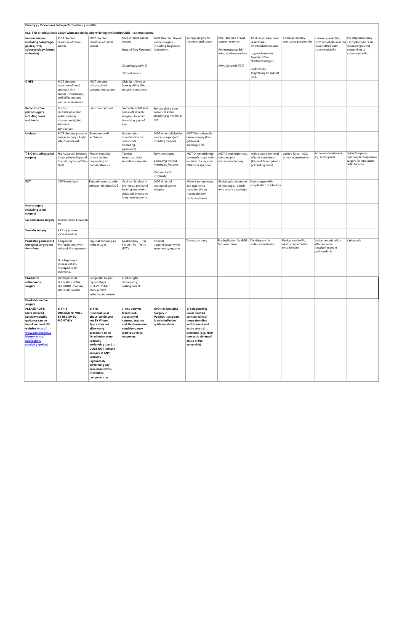| Priority 3 - Procedures to be performed in < 3 months.                                                                                                                                      |                                                                                                                                                |                                                                                                                                                                                                                                            |                                                                                                                                              |                                                                                                   |                                                                                                                                                                                            |                                                                                                                   |                                                                                                                                                                           |                                                                |                                                                                        |                                                                                                      |
|---------------------------------------------------------------------------------------------------------------------------------------------------------------------------------------------|------------------------------------------------------------------------------------------------------------------------------------------------|--------------------------------------------------------------------------------------------------------------------------------------------------------------------------------------------------------------------------------------------|----------------------------------------------------------------------------------------------------------------------------------------------|---------------------------------------------------------------------------------------------------|--------------------------------------------------------------------------------------------------------------------------------------------------------------------------------------------|-------------------------------------------------------------------------------------------------------------------|---------------------------------------------------------------------------------------------------------------------------------------------------------------------------|----------------------------------------------------------------|----------------------------------------------------------------------------------------|------------------------------------------------------------------------------------------------------|
|                                                                                                                                                                                             |                                                                                                                                                |                                                                                                                                                                                                                                            | (n.b. This prioritisation is about 'when and not by whom' during the Covid19 Crisis - see notes below)                                       |                                                                                                   |                                                                                                                                                                                            |                                                                                                                   |                                                                                                                                                                           |                                                                |                                                                                        |                                                                                                      |
| <b>General surgery</b><br>(including oesophago-<br>gastric, HPB,<br>coloproctology, breast,<br>endocrine)                                                                                   | MDT directed<br>resection of colon<br>cancer                                                                                                   | MDT directed<br>resection of rectal<br>cancer                                                                                                                                                                                              | <b>MDT Directed cancer</b><br>surgery<br>Hepatobiliary Pancreatic   lobectomy.<br>Oesophagogastric GI<br>Stromal tumour                      | MDT Directed thyroid<br>cancer surgery -<br>including diagnostic                                  | Salvage surgery for<br>recurrent anal cancer                                                                                                                                               | MDT directed breast<br>cancer resection -<br>Pre-menopausal ER+<br>without adverse biology<br>Non-high grade DCIS | MDT directed adrenal<br>resections -<br>intermediate masses<br>>4cm<6cm) with<br>hypersecretion<br>(Cortisol/androgen)<br>metastases -<br>progressing on scan at<br>3/12. | Cholecystectomy -<br>post acute pancreatitis                   | Hernia - presenting<br>with complications that<br>have settled with<br>conservative Rx | Parathyroidectomy -<br>- symptomatic renal<br>stones/Sepsis not<br>responding to<br>conservative Rx. |
| <b>OMFS</b>                                                                                                                                                                                 | <b>MDT</b> directed<br>resection of head<br>and neck skin<br>cancer - moderately/<br>well differentiated<br>with no metastases.                | MDT directed<br>salivary gland<br>tumours (low grade).                                                                                                                                                                                     | Cleft lip - Alveolar<br>bone grafting (Prior<br>to canine eruption)                                                                          |                                                                                                   |                                                                                                                                                                                            |                                                                                                                   |                                                                                                                                                                           |                                                                |                                                                                        |                                                                                                      |
| Reconstructive<br>plastic surgery<br>including burns<br>and hands                                                                                                                           | Burns -<br>reconstruction for<br>eyelid closure/<br>microstomia/joint<br>and neck<br>contracture                                               | Limb contractures                                                                                                                                                                                                                          | Secondary cleft and<br>non-cleft speech<br>surgery - to avoid<br>breaching 5 yrs of<br>age                                                   | Primary cleft palate<br>Repair - to avoid<br>breaching 13 months of<br>age                        |                                                                                                                                                                                            |                                                                                                                   |                                                                                                                                                                           |                                                                |                                                                                        |                                                                                                      |
| <b>Urology</b>                                                                                                                                                                              | MDT directed prostate Stent removal/<br>cancer surgery - high/<br>intermediate risk                                                            | exchange                                                                                                                                                                                                                                   | Haematuria -<br>investigation for<br>non-visible<br>(including<br>paediatric)                                                                | MDT directed bladder<br>cancer surgery(not<br>invading muscle)                                    | <b>MDT Directed penile</b><br>cancer surgery (low<br>grade and<br>premalignant).                                                                                                           |                                                                                                                   |                                                                                                                                                                           |                                                                |                                                                                        |                                                                                                      |
| T & O (including spinal<br>surgery)                                                                                                                                                         | Hip Avascular Necrosis   Frozen shoulder -<br>(night pain/ collapse of $ $ severe and not<br>the joint/ going off their responding to<br>feet) | conservative Rx                                                                                                                                                                                                                            | Tendon<br>reconstruction/<br>tenodesis - any site                                                                                            | Revision surgery<br>Loosening without<br>impending fracture.<br>Recurrent joint<br>instability    | <b>MDT Directed Benign</b><br>bone/soft tissue lesion<br>excision biopsy - not<br>otherwise specified                                                                                      | <b>MDT Directed primary</b><br>sarcoma plus<br>metastases surgery                                                 | Arthroscopic removal<br>of joint loose body<br>(Reversible symptoms<br>preventing work)                                                                                   | Locked Knee - ACL/<br>other reconstruction                     | Removal of metalwork<br>e.g. across joints.                                            | Spinal Surgery-<br>Injection/decompressive<br>surgery for intractable<br>radiculopathy.              |
| <b>ENT</b>                                                                                                                                                                                  | CSF fistula repair                                                                                                                             | Expanding mucocoele<br>without infection/NOS                                                                                                                                                                                               | Cochlear implant in<br>pre-verbal profound<br>hearing loss where<br>delay will impact on<br>long term outcome.                               | MDT directed<br>otological cancer<br>surgery.                                                     | Micro-Laryngoscopy<br>and papilloma<br>resection (laser/<br>microdebrider/<br>coblation/steel)                                                                                             | Endoscopic treatment<br>of pharyngeal pouch<br>with severe dysphagia                                              | Sinus surgery with<br>complication of infection                                                                                                                           |                                                                |                                                                                        |                                                                                                      |
| Neurosurgery<br>(including spinal<br>surgery)                                                                                                                                               |                                                                                                                                                |                                                                                                                                                                                                                                            |                                                                                                                                              |                                                                                                   |                                                                                                                                                                                            |                                                                                                                   |                                                                                                                                                                           |                                                                |                                                                                        |                                                                                                      |
| Cardiothoracic surgery                                                                                                                                                                      | Stable Non ST Elevation<br>MI                                                                                                                  |                                                                                                                                                                                                                                            |                                                                                                                                              |                                                                                                   |                                                                                                                                                                                            |                                                                                                                   |                                                                                                                                                                           |                                                                |                                                                                        |                                                                                                      |
| Vascular surgery                                                                                                                                                                            | AAA >5.5cm and<br><7cm diameter                                                                                                                |                                                                                                                                                                                                                                            |                                                                                                                                              |                                                                                                   |                                                                                                                                                                                            |                                                                                                                   |                                                                                                                                                                           |                                                                |                                                                                        |                                                                                                      |
| Paediatric general and<br>urological surgery (see<br>also urology)                                                                                                                          | Congenital<br>Malformations with<br>delayed Management<br>Hirschsprung's<br>Disease initially<br>managed with<br>washouts.                     | Inguinal hernia (3-12<br>mths of age)                                                                                                                                                                                                      | for<br>Gastrostomy<br>Failure To Thrive<br>(FTT)                                                                                             | Interval<br>appendicectomy for<br>recurrent symptoms                                              | Cholecystectomy                                                                                                                                                                            | Fundoplication for GOR-Orchidopexy for<br>failure to thrive                                                       | undescended testis                                                                                                                                                        | Pyeloplasty for PUJ<br>obstruction effecting<br>renal function | Vesico-ureteric reflux<br>effecting renal<br>function/recurrent<br>pyelonephritis      | Varicocoele                                                                                          |
| Paediatric<br>orthopaedic<br>surgery                                                                                                                                                        | Developmental<br>Dislocation of the<br>Hip (DDH) - Primary<br>joint stabilisation                                                              | Congenital Talipes<br>Equino Varus<br>(CTEV) - Initial<br>management<br>including tenotmies                                                                                                                                                | Limb length<br>discrepancy/<br>malalignment                                                                                                  |                                                                                                   |                                                                                                                                                                                            |                                                                                                                   |                                                                                                                                                                           |                                                                |                                                                                        |                                                                                                      |
| Paediatric cardiac<br>surgery                                                                                                                                                               |                                                                                                                                                |                                                                                                                                                                                                                                            |                                                                                                                                              |                                                                                                   |                                                                                                                                                                                            |                                                                                                                   |                                                                                                                                                                           |                                                                |                                                                                        |                                                                                                      |
| PLEASE NOTE:<br>More detailed<br>specialty specific<br>quidance can be<br>found on the NHSE<br>website https://<br>www.england.nhs.u<br>k/coronavirus/<br>publication/<br>specialty-quides/ | a) THIS<br><b>DOCUMENT WILL</b><br><b>BE REVIEWED</b><br><b>MONTHLY</b>                                                                        | b) This<br>Prioritisation is<br>about 'WHEN and<br>not BY Whom'.<br>Space does not<br>allow every<br>procedure to be<br>listed under every<br>specialty<br>performing it and it<br><b>DOES NOT indicate</b><br>primacy of ANY<br>specialty | c) Any delay in<br>treatment,<br>especially of<br>cancers, trauma<br>and life threatening<br>conditions, may<br>lead to adverse<br>outcomes. | d) Other Specialist<br>Surgery in<br>Paediatric patients<br>is included in the<br>quidance above. | e) Safeguarding<br>issues must be<br>considered in all<br>those attending<br>with trauma and<br>acute surgical<br>problems (e.g. NAI/<br>domestic violence/<br>abuse of the<br>vulnerable) |                                                                                                                   |                                                                                                                                                                           |                                                                |                                                                                        |                                                                                                      |

|  | legitimately         |  |  |  |  |  |
|--|----------------------|--|--|--|--|--|
|  | performing any       |  |  |  |  |  |
|  | $ $ procedure within |  |  |  |  |  |
|  | their listed         |  |  |  |  |  |
|  | $ $ competencies.    |  |  |  |  |  |
|  |                      |  |  |  |  |  |